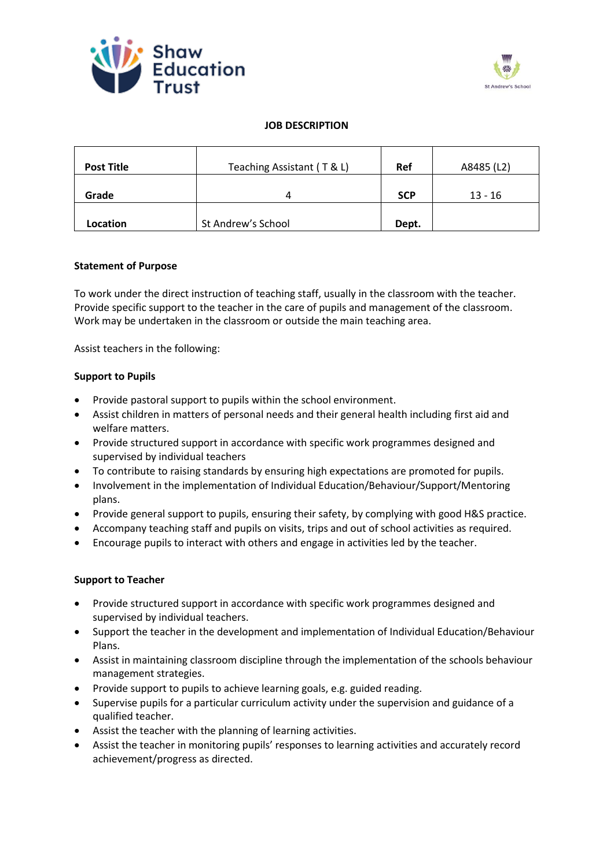



## **JOB DESCRIPTION**

| <b>Post Title</b> | Teaching Assistant (T & L) | Ref        | A8485 (L2) |
|-------------------|----------------------------|------------|------------|
| Grade             | 4                          | <b>SCP</b> | $13 - 16$  |
| Location          | St Andrew's School         | Dept.      |            |

### **Statement of Purpose**

To work under the direct instruction of teaching staff, usually in the classroom with the teacher. Provide specific support to the teacher in the care of pupils and management of the classroom. Work may be undertaken in the classroom or outside the main teaching area.

Assist teachers in the following:

# **Support to Pupils**

- Provide pastoral support to pupils within the school environment.
- Assist children in matters of personal needs and their general health including first aid and welfare matters.
- Provide structured support in accordance with specific work programmes designed and supervised by individual teachers
- To contribute to raising standards by ensuring high expectations are promoted for pupils.
- Involvement in the implementation of Individual Education/Behaviour/Support/Mentoring plans.
- Provide general support to pupils, ensuring their safety, by complying with good H&S practice.
- Accompany teaching staff and pupils on visits, trips and out of school activities as required.
- Encourage pupils to interact with others and engage in activities led by the teacher.

### **Support to Teacher**

- Provide structured support in accordance with specific work programmes designed and supervised by individual teachers.
- Support the teacher in the development and implementation of Individual Education/Behaviour Plans.
- Assist in maintaining classroom discipline through the implementation of the schools behaviour management strategies.
- Provide support to pupils to achieve learning goals, e.g. guided reading.
- Supervise pupils for a particular curriculum activity under the supervision and guidance of a qualified teacher.
- Assist the teacher with the planning of learning activities.
- Assist the teacher in monitoring pupils' responses to learning activities and accurately record achievement/progress as directed.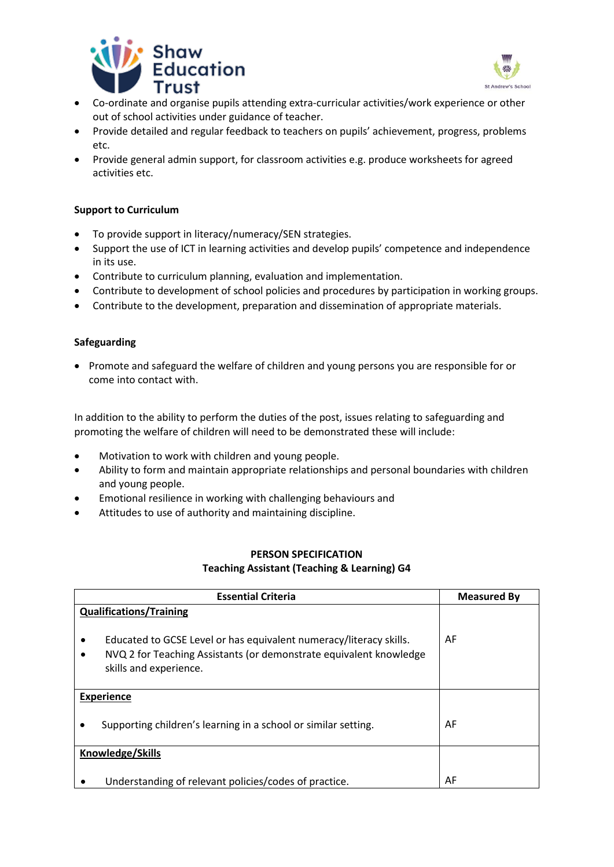



- Co-ordinate and organise pupils attending extra-curricular activities/work experience or other out of school activities under guidance of teacher.
- Provide detailed and regular feedback to teachers on pupils' achievement, progress, problems etc.
- Provide general admin support, for classroom activities e.g. produce worksheets for agreed activities etc.

## **Support to Curriculum**

- To provide support in literacy/numeracy/SEN strategies.
- Support the use of ICT in learning activities and develop pupils' competence and independence in its use.
- Contribute to curriculum planning, evaluation and implementation.
- Contribute to development of school policies and procedures by participation in working groups.
- Contribute to the development, preparation and dissemination of appropriate materials.

### **Safeguarding**

• Promote and safeguard the welfare of children and young persons you are responsible for or come into contact with.

In addition to the ability to perform the duties of the post, issues relating to safeguarding and promoting the welfare of children will need to be demonstrated these will include:

- Motivation to work with children and young people.
- Ability to form and maintain appropriate relationships and personal boundaries with children and young people.
- Emotional resilience in working with challenging behaviours and
- Attitudes to use of authority and maintaining discipline.

# **PERSON SPECIFICATION Teaching Assistant (Teaching & Learning) G4**

| <b>Essential Criteria</b>                                                                                                                                                    | <b>Measured By</b> |
|------------------------------------------------------------------------------------------------------------------------------------------------------------------------------|--------------------|
| <b>Qualifications/Training</b>                                                                                                                                               |                    |
| Educated to GCSE Level or has equivalent numeracy/literacy skills.<br>٠<br>NVQ 2 for Teaching Assistants (or demonstrate equivalent knowledge<br>٠<br>skills and experience. | AF                 |
| <b>Experience</b>                                                                                                                                                            |                    |
| Supporting children's learning in a school or similar setting.<br>٠                                                                                                          | AF                 |
| <b>Knowledge/Skills</b>                                                                                                                                                      |                    |
|                                                                                                                                                                              |                    |
| Understanding of relevant policies/codes of practice.                                                                                                                        | AF                 |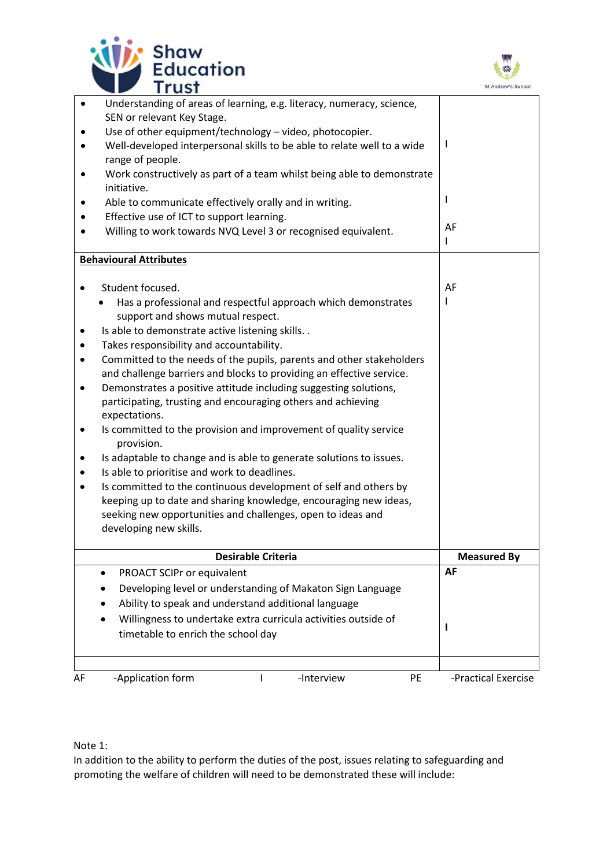



| $\bullet$ | Understanding of areas of learning, e.g. literacy, numeracy, science,                                                           |                     |
|-----------|---------------------------------------------------------------------------------------------------------------------------------|---------------------|
| ٠         | SEN or relevant Key Stage.<br>Use of other equipment/technology - video, photocopier.                                           |                     |
|           | Well-developed interpersonal skills to be able to relate well to a wide                                                         | J.                  |
|           | range of people.                                                                                                                |                     |
|           | Work constructively as part of a team whilst being able to demonstrate                                                          |                     |
|           | initiative.                                                                                                                     | L                   |
|           | Able to communicate effectively orally and in writing.                                                                          |                     |
|           | Effective use of ICT to support learning.<br>Willing to work towards NVQ Level 3 or recognised equivalent.                      | AF                  |
|           |                                                                                                                                 | L                   |
|           | <b>Behavioural Attributes</b>                                                                                                   |                     |
|           |                                                                                                                                 |                     |
|           | Student focused.                                                                                                                | AF                  |
|           | Has a professional and respectful approach which demonstrates<br>support and shows mutual respect.                              |                     |
|           | Is able to demonstrate active listening skills. .                                                                               |                     |
|           | Takes responsibility and accountability.                                                                                        |                     |
|           | Committed to the needs of the pupils, parents and other stakeholders                                                            |                     |
|           | and challenge barriers and blocks to providing an effective service.                                                            |                     |
|           | Demonstrates a positive attitude including suggesting solutions,                                                                |                     |
|           | participating, trusting and encouraging others and achieving                                                                    |                     |
|           | expectations.                                                                                                                   |                     |
| ٠         | Is committed to the provision and improvement of quality service<br>provision.                                                  |                     |
|           | Is adaptable to change and is able to generate solutions to issues.                                                             |                     |
|           | Is able to prioritise and work to deadlines.                                                                                    |                     |
|           | Is committed to the continuous development of self and others by                                                                |                     |
|           | keeping up to date and sharing knowledge, encouraging new ideas,<br>seeking new opportunities and challenges, open to ideas and |                     |
|           | developing new skills.                                                                                                          |                     |
|           |                                                                                                                                 |                     |
|           | <b>Desirable Criteria</b>                                                                                                       | <b>Measured By</b>  |
|           | PROACT SCIPr or equivalent                                                                                                      | AF                  |
|           | Developing level or understanding of Makaton Sign Language                                                                      |                     |
|           | Ability to speak and understand additional language                                                                             |                     |
|           | Willingness to undertake extra curricula activities outside of                                                                  | L                   |
|           | timetable to enrich the school day                                                                                              |                     |
|           |                                                                                                                                 |                     |
| AF        | -Application form<br>-Interview<br>PE<br>$\mathbf{I}$                                                                           | -Practical Exercise |

Note 1:

In addition to the ability to perform the duties of the post, issues relating to safeguarding and promoting the welfare of children will need to be demonstrated these will include: